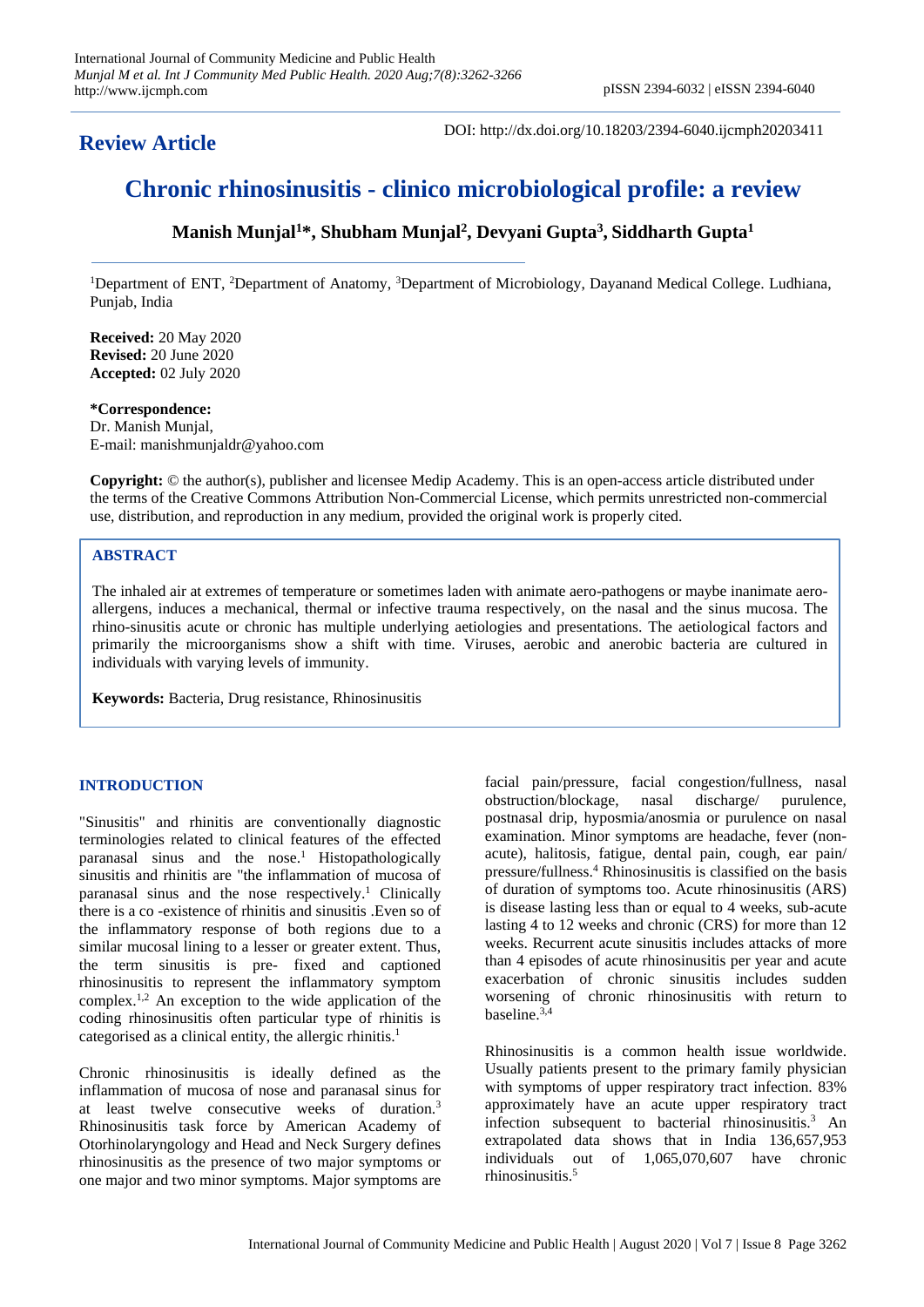## **Review Article**

DOI: http://dx.doi.org/10.18203/2394-6040.ijcmph20203411

# **Chronic rhinosinusitis - clinico microbiological profile: a review**

## **Manish Munjal<sup>1</sup>\*, Shubham Munjal<sup>2</sup> , Devyani Gupta<sup>3</sup> , Siddharth Gupta<sup>1</sup>**

<sup>1</sup>Department of ENT, <sup>2</sup>Department of Anatomy, <sup>3</sup>Department of Microbiology, Dayanand Medical College. Ludhiana, Punjab, India

**Received:** 20 May 2020 **Revised:** 20 June 2020 **Accepted:** 02 July 2020

#### **\*Correspondence:**

Dr. Manish Munjal, E-mail: manishmunjaldr@yahoo.com

**Copyright:** © the author(s), publisher and licensee Medip Academy. This is an open-access article distributed under the terms of the Creative Commons Attribution Non-Commercial License, which permits unrestricted non-commercial use, distribution, and reproduction in any medium, provided the original work is properly cited.

### **ABSTRACT**

The inhaled air at extremes of temperature or sometimes laden with animate aero-pathogens or maybe inanimate aeroallergens, induces a mechanical, thermal or infective trauma respectively, on the nasal and the sinus mucosa. The rhino-sinusitis acute or chronic has multiple underlying aetiologies and presentations. The aetiological factors and primarily the microorganisms show a shift with time. Viruses, aerobic and anerobic bacteria are cultured in individuals with varying levels of immunity.

**Keywords:** Bacteria, Drug resistance, Rhinosinusitis

#### **INTRODUCTION**

"Sinusitis" and rhinitis are conventionally diagnostic terminologies related to clinical features of the effected paranasal sinus and the nose. <sup>1</sup> Histopathologically sinusitis and rhinitis are "the inflammation of mucosa of paranasal sinus and the nose respectively.<sup>1</sup> Clinically there is a co -existence of rhinitis and sinusitis .Even so of the inflammatory response of both regions due to a similar mucosal lining to a lesser or greater extent. Thus, the term sinusitis is pre- fixed and captioned rhinosinusitis to represent the inflammatory symptom complex.1,2 An exception to the wide application of the coding rhinosinusitis often particular type of rhinitis is categorised as a clinical entity, the allergic rhinitis. 1

Chronic rhinosinusitis is ideally defined as the inflammation of mucosa of nose and paranasal sinus for at least twelve consecutive weeks of duration.<sup>3</sup> Rhinosinusitis task force by American Academy of Otorhinolaryngology and Head and Neck Surgery defines rhinosinusitis as the presence of two major symptoms or one major and two minor symptoms. Major symptoms are

facial pain/pressure, facial congestion/fullness, nasal obstruction/blockage, nasal discharge/ purulence, postnasal drip, hyposmia/anosmia or purulence on nasal examination. Minor symptoms are headache, fever (nonacute), halitosis, fatigue, dental pain, cough, ear pain/ pressure/fullness. <sup>4</sup> Rhinosinusitis is classified on the basis of duration of symptoms too. Acute rhinosinusitis (ARS) is disease lasting less than or equal to 4 weeks, sub-acute lasting 4 to 12 weeks and chronic (CRS) for more than 12 weeks. Recurrent acute sinusitis includes attacks of more than 4 episodes of acute rhinosinusitis per year and acute exacerbation of chronic sinusitis includes sudden worsening of chronic rhinosinusitis with return to baseline. $3,4$ 

Rhinosinusitis is a common health issue worldwide. Usually patients present to the primary family physician with symptoms of upper respiratory tract infection. 83% approximately have an acute upper respiratory tract infection subsequent to bacterial rhinosinusitis. <sup>3</sup> An extrapolated data shows that in India 136,657,953 individuals out of 1,065,070,607 have chronic rhinosinusitis.<sup>5</sup>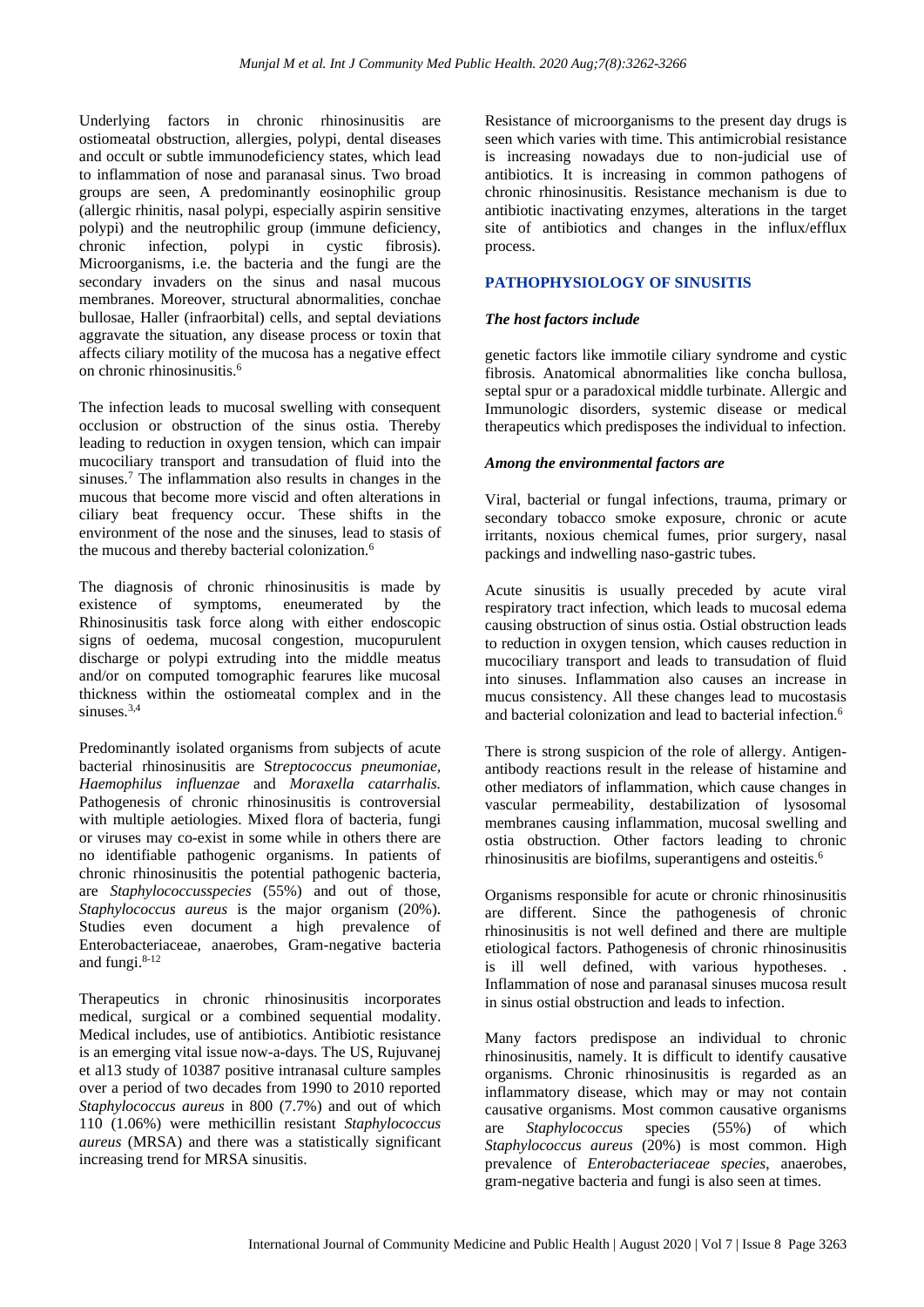Underlying factors in chronic rhinosinusitis are ostiomeatal obstruction, allergies, polypi, dental diseases and occult or subtle immunodeficiency states, which lead to inflammation of nose and paranasal sinus. Two broad groups are seen, A predominantly eosinophilic group (allergic rhinitis, nasal polypi, especially aspirin sensitive polypi) and the neutrophilic group (immune deficiency, chronic infection, polypi in cystic fibrosis). Microorganisms, i.e. the bacteria and the fungi are the secondary invaders on the sinus and nasal mucous membranes. Moreover, structural abnormalities, conchae bullosae, Haller (infraorbital) cells, and septal deviations aggravate the situation, any disease process or toxin that affects ciliary motility of the mucosa has a negative effect on chronic rhinosinusitis.<sup>6</sup>

The infection leads to mucosal swelling with consequent occlusion or obstruction of the sinus ostia. Thereby leading to reduction in oxygen tension, which can impair mucociliary transport and transudation of fluid into the sinuses.<sup>7</sup> The inflammation also results in changes in the mucous that become more viscid and often alterations in ciliary beat frequency occur. These shifts in the environment of the nose and the sinuses, lead to stasis of the mucous and thereby bacterial colonization.<sup>6</sup>

The diagnosis of chronic rhinosinusitis is made by existence of symptoms, eneumerated by the Rhinosinusitis task force along with either endoscopic signs of oedema, mucosal congestion, mucopurulent discharge or polypi extruding into the middle meatus and/or on computed tomographic fearures like mucosal thickness within the ostiomeatal complex and in the sinuses $3,4$ 

Predominantly isolated organisms from subjects of acute bacterial rhinosinusitis are S*treptococcus pneumoniae, Haemophilus influenzae* and *Moraxella catarrhalis.* Pathogenesis of chronic rhinosinusitis is controversial with multiple aetiologies. Mixed flora of bacteria, fungi or viruses may co-exist in some while in others there are no identifiable pathogenic organisms. In patients of chronic rhinosinusitis the potential pathogenic bacteria, are *Staphylococcusspecies* (55%) and out of those, *Staphylococcus aureus* is the major organism (20%). Studies even document a high prevalence of Enterobacteriaceae, anaerobes, Gram-negative bacteria and fungi.<sup>8-12</sup>

Therapeutics in chronic rhinosinusitis incorporates medical, surgical or a combined sequential modality. Medical includes, use of antibiotics. Antibiotic resistance is an emerging vital issue now-a-days. The US, Rujuvanej et al13 study of 10387 positive intranasal culture samples over a period of two decades from 1990 to 2010 reported *Staphylococcus aureus* in 800 (7.7%) and out of which 110 (1.06%) were methicillin resistant *Staphylococcus aureus* (MRSA) and there was a statistically significant increasing trend for MRSA sinusitis.

Resistance of microorganisms to the present day drugs is seen which varies with time. This antimicrobial resistance is increasing nowadays due to non-judicial use of antibiotics. It is increasing in common pathogens of chronic rhinosinusitis. Resistance mechanism is due to antibiotic inactivating enzymes, alterations in the target site of antibiotics and changes in the influx/efflux process.

#### **PATHOPHYSIOLOGY OF SINUSITIS**

#### *The host factors include*

genetic factors like immotile ciliary syndrome and cystic fibrosis. Anatomical abnormalities like concha bullosa, septal spur or a paradoxical middle turbinate. Allergic and Immunologic disorders, systemic disease or medical therapeutics which predisposes the individual to infection.

#### *Among the environmental factors are*

Viral, bacterial or fungal infections, trauma, primary or secondary tobacco smoke exposure, chronic or acute irritants, noxious chemical fumes, prior surgery, nasal packings and indwelling naso-gastric tubes.

Acute sinusitis is usually preceded by acute viral respiratory tract infection, which leads to mucosal edema causing obstruction of sinus ostia. Ostial obstruction leads to reduction in oxygen tension, which causes reduction in mucociliary transport and leads to transudation of fluid into sinuses. Inflammation also causes an increase in mucus consistency. All these changes lead to mucostasis and bacterial colonization and lead to bacterial infection.<sup>6</sup>

There is strong suspicion of the role of allergy. Antigenantibody reactions result in the release of histamine and other mediators of inflammation, which cause changes in vascular permeability, destabilization of lysosomal membranes causing inflammation, mucosal swelling and ostia obstruction. Other factors leading to chronic rhinosinusitis are biofilms, superantigens and osteitis.<sup>6</sup>

Organisms responsible for acute or chronic rhinosinusitis are different. Since the pathogenesis of chronic rhinosinusitis is not well defined and there are multiple etiological factors. Pathogenesis of chronic rhinosinusitis is ill well defined, with various hypotheses. . Inflammation of nose and paranasal sinuses mucosa result in sinus ostial obstruction and leads to infection.

Many factors predispose an individual to chronic rhinosinusitis, namely. It is difficult to identify causative organisms. Chronic rhinosinusitis is regarded as an inflammatory disease, which may or may not contain causative organisms. Most common causative organisms are *Staphylococcus* species (55%) of which *Staphylococcus aureus* (20%) is most common. High prevalence of *Enterobacteriaceae species*, anaerobes, gram-negative bacteria and fungi is also seen at times.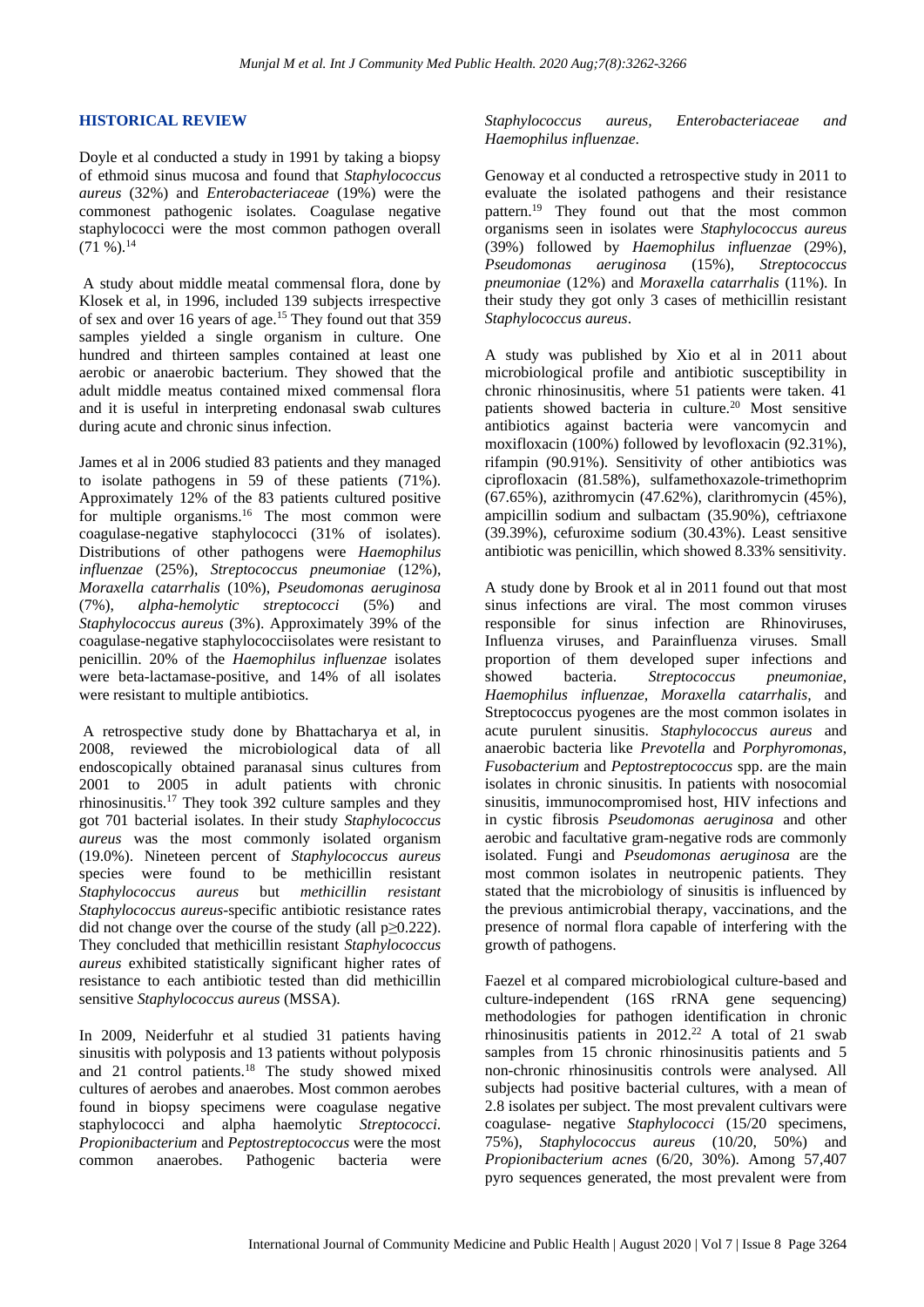#### **HISTORICAL REVIEW**

Doyle et al conducted a study in 1991 by taking a biopsy of ethmoid sinus mucosa and found that *Staphylococcus aureus* (32%) and *Enterobacteriaceae* (19%) were the commonest pathogenic isolates. Coagulase negative staphylococci were the most common pathogen overall  $(71 \%)$ .<sup>14</sup>

A study about middle meatal commensal flora, done by Klosek et al, in 1996, included 139 subjects irrespective of sex and over 16 years of age.<sup>15</sup> They found out that 359 samples yielded a single organism in culture. One hundred and thirteen samples contained at least one aerobic or anaerobic bacterium. They showed that the adult middle meatus contained mixed commensal flora and it is useful in interpreting endonasal swab cultures during acute and chronic sinus infection.

James et al in 2006 studied 83 patients and they managed to isolate pathogens in 59 of these patients (71%). Approximately 12% of the 83 patients cultured positive for multiple organisms.<sup>16</sup> The most common were coagulase-negative staphylococci (31% of isolates). Distributions of other pathogens were *Haemophilus influenzae* (25%), *Streptococcus pneumoniae* (12%), *Moraxella catarrhalis* (10%), *Pseudomonas aeruginosa* (7%), *alpha-hemolytic streptococci* (5%) and *Staphylococcus aureus* (3%). Approximately 39% of the coagulase-negative staphylococciisolates were resistant to penicillin. 20% of the *Haemophilus influenzae* isolates were beta-lactamase-positive, and 14% of all isolates were resistant to multiple antibiotics.

A retrospective study done by Bhattacharya et al, in 2008, reviewed the microbiological data of all endoscopically obtained paranasal sinus cultures from 2001 to 2005 in adult patients with chronic rhinosinusitis.<sup>17</sup> They took 392 culture samples and they got 701 bacterial isolates. In their study *Staphylococcus aureus* was the most commonly isolated organism (19.0%). Nineteen percent of *Staphylococcus aureus* species were found to be methicillin resistant *Staphylococcus aureus* but *methicillin resistant Staphylococcus aureus*-specific antibiotic resistance rates did not change over the course of the study (all p≥0.222). They concluded that methicillin resistant *Staphylococcus aureus* exhibited statistically significant higher rates of resistance to each antibiotic tested than did methicillin sensitive *Staphylococcus aureus* (MSSA).

In 2009, Neiderfuhr et al studied 31 patients having sinusitis with polyposis and 13 patients without polyposis and 21 control patients.<sup>18</sup> The study showed mixed cultures of aerobes and anaerobes. Most common aerobes found in biopsy specimens were coagulase negative staphylococci and alpha haemolytic *Streptococci*. *Propionibacterium* and *Peptostreptococcus* were the most common anaerobes. Pathogenic bacteria were

*Staphylococcus aureus, Enterobacteriaceae and Haemophilus influenzae*.

Genoway et al conducted a retrospective study in 2011 to evaluate the isolated pathogens and their resistance pattern.<sup>19</sup> They found out that the most common organisms seen in isolates were *Staphylococcus aureus* (39%) followed by *Haemophilus influenzae* (29%), *Pseudomonas aeruginosa* (15%), *Streptococcus pneumoniae* (12%) and *Moraxella catarrhalis* (11%). In their study they got only 3 cases of methicillin resistant *Staphylococcus aureus*.

A study was published by Xio et al in 2011 about microbiological profile and antibiotic susceptibility in chronic rhinosinusitis, where 51 patients were taken. 41 patients showed bacteria in culture.<sup>20</sup> Most sensitive antibiotics against bacteria were vancomycin and moxifloxacin (100%) followed by levofloxacin (92.31%), rifampin (90.91%). Sensitivity of other antibiotics was ciprofloxacin (81.58%), sulfamethoxazole-trimethoprim (67.65%), azithromycin (47.62%), clarithromycin (45%), ampicillin sodium and sulbactam (35.90%), ceftriaxone (39.39%), cefuroxime sodium (30.43%). Least sensitive antibiotic was penicillin, which showed 8.33% sensitivity.

A study done by Brook et al in 2011 found out that most sinus infections are viral. The most common viruses responsible for sinus infection are Rhinoviruses, Influenza viruses, and Parainfluenza viruses. Small proportion of them developed super infections and showed bacteria. Streptococcus pneumoniae. showed bacteria. *Streptococcus Haemophilus influenzae, Moraxella catarrhalis,* and Streptococcus pyogenes are the most common isolates in acute purulent sinusitis. *Staphylococcus aureus* and anaerobic bacteria like *Prevotella* and *Porphyromonas*, *Fusobacterium* and *Peptostreptococcus* spp. are the main isolates in chronic sinusitis. In patients with nosocomial sinusitis, immunocompromised host, HIV infections and in cystic fibrosis *Pseudomonas aeruginosa* and other aerobic and facultative gram-negative rods are commonly isolated. Fungi and *Pseudomonas aeruginosa* are the most common isolates in neutropenic patients. They stated that the microbiology of sinusitis is influenced by the previous antimicrobial therapy, vaccinations, and the presence of normal flora capable of interfering with the growth of pathogens.

Faezel et al compared microbiological culture-based and culture-independent (16S rRNA gene sequencing) methodologies for pathogen identification in chronic rhinosinusitis patients in  $2012<sup>22</sup>$  A total of 21 swab samples from 15 chronic rhinosinusitis patients and 5 non-chronic rhinosinusitis controls were analysed. All subjects had positive bacterial cultures, with a mean of 2.8 isolates per subject. The most prevalent cultivars were coagulase- negative *Staphylococci* (15/20 specimens, 75%), *Staphylococcus aureus* (10/20, 50%) and *Propionibacterium acnes* (6/20, 30%). Among 57,407 pyro sequences generated, the most prevalent were from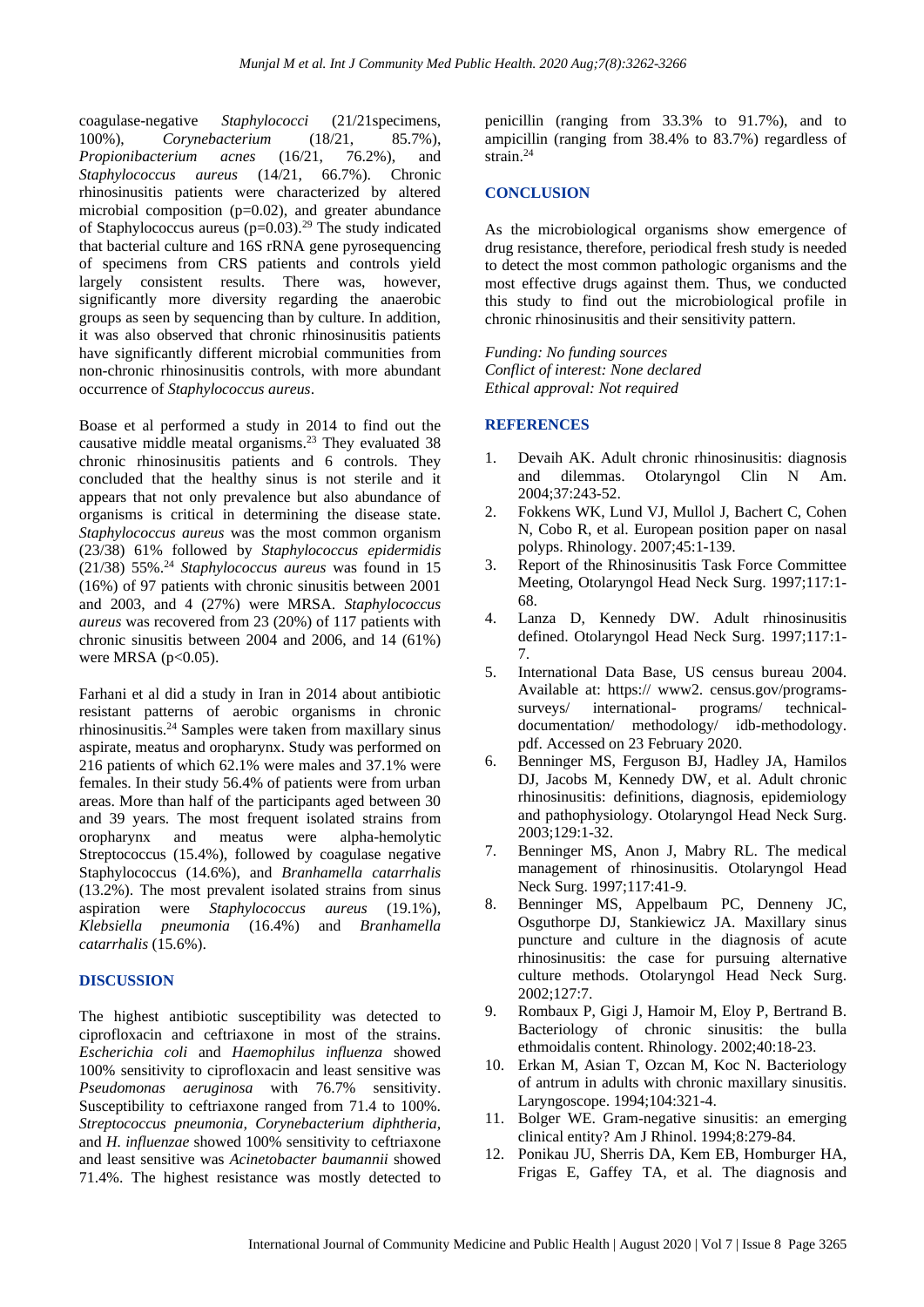coagulase-negative *Staphylococci* (21/21specimens, 100%), *Corynebacterium* (18/21, 85.7%), *Propionibacterium acnes* (16/21, 76.2%), and *Staphylococcus aureus* (14/21, 66.7%). Chronic rhinosinusitis patients were characterized by altered microbial composition (p=0.02), and greater abundance of Staphylococcus aureus (p=0.03).<sup>29</sup> The study indicated that bacterial culture and 16S rRNA gene pyrosequencing of specimens from CRS patients and controls yield largely consistent results. There was, however, significantly more diversity regarding the anaerobic groups as seen by sequencing than by culture. In addition, it was also observed that chronic rhinosinusitis patients have significantly different microbial communities from non-chronic rhinosinusitis controls, with more abundant occurrence of *Staphylococcus aureus*.

Boase et al performed a study in 2014 to find out the causative middle meatal organisms.<sup>23</sup> They evaluated 38 chronic rhinosinusitis patients and 6 controls. They concluded that the healthy sinus is not sterile and it appears that not only prevalence but also abundance of organisms is critical in determining the disease state. *Staphylococcus aureus* was the most common organism (23/38) 61% followed by *Staphylococcus epidermidis* (21/38) 55%.<sup>24</sup> *Staphylococcus aureus* was found in 15 (16%) of 97 patients with chronic sinusitis between 2001 and 2003, and 4 (27%) were MRSA. *Staphylococcus aureus* was recovered from 23 (20%) of 117 patients with chronic sinusitis between 2004 and 2006, and 14 (61%) were MRSA  $(p<0.05)$ .

Farhani et al did a study in Iran in 2014 about antibiotic resistant patterns of aerobic organisms in chronic rhinosinusitis.<sup>24</sup> Samples were taken from maxillary sinus aspirate, meatus and oropharynx. Study was performed on 216 patients of which 62.1% were males and 37.1% were females. In their study 56.4% of patients were from urban areas. More than half of the participants aged between 30 and 39 years. The most frequent isolated strains from oropharynx and meatus were alpha-hemolytic Streptococcus (15.4%), followed by coagulase negative Staphylococcus (14.6%), and *Branhamella catarrhalis* (13.2%). The most prevalent isolated strains from sinus aspiration were *Staphylococcus aureus* (19.1%), *Klebsiella pneumonia* (16.4%) and *Branhamella catarrhalis* (15.6%).

#### **DISCUSSION**

The highest antibiotic susceptibility was detected to ciprofloxacin and ceftriaxone in most of the strains. *Escherichia coli* and *Haemophilus influenza* showed 100% sensitivity to ciprofloxacin and least sensitive was *Pseudomonas aeruginosa* with 76.7% sensitivity. Susceptibility to ceftriaxone ranged from 71.4 to 100%. *Streptococcus pneumonia, Corynebacterium diphtheria,*  and *H. influenzae* showed 100% sensitivity to ceftriaxone and least sensitive was *Acinetobacter baumannii* showed 71.4%. The highest resistance was mostly detected to

penicillin (ranging from 33.3% to 91.7%), and to ampicillin (ranging from 38.4% to 83.7%) regardless of strain.<sup>24</sup>

#### **CONCLUSION**

As the microbiological organisms show emergence of drug resistance, therefore, periodical fresh study is needed to detect the most common pathologic organisms and the most effective drugs against them. Thus, we conducted this study to find out the microbiological profile in chronic rhinosinusitis and their sensitivity pattern.

*Funding: No funding sources Conflict of interest: None declared Ethical approval: Not required*

#### **REFERENCES**

- 1. Devaih AK. Adult chronic rhinosinusitis: diagnosis and dilemmas. Otolaryngol Clin N Am. 2004;37:243-52.
- 2. Fokkens WK, Lund VJ, Mullol J, Bachert C, Cohen N, Cobo R, et al. European position paper on nasal polyps. Rhinology. 2007;45:1-139.
- 3. Report of the Rhinosinusitis Task Force Committee Meeting, Otolaryngol Head Neck Surg. 1997;117:1- 68.
- 4. Lanza D, Kennedy DW. Adult rhinosinusitis defined. Otolaryngol Head Neck Surg. 1997;117:1- 7.
- 5. International Data Base, US census bureau 2004. Available at: https:// www2. census.gov/programssurveys/ international- programs/ technicaldocumentation/ methodology/ idb-methodology. pdf. Accessed on 23 February 2020.
- 6. Benninger MS, Ferguson BJ, Hadley JA, Hamilos DJ, Jacobs M, Kennedy DW, et al. Adult chronic rhinosinusitis: definitions, diagnosis, epidemiology and pathophysiology. Otolaryngol Head Neck Surg. 2003;129:1-32.
- 7. Benninger MS, Anon J, Mabry RL. The medical management of rhinosinusitis. Otolaryngol Head Neck Surg. 1997;117:41-9.
- 8. Benninger MS, Appelbaum PC, Denneny JC, Osguthorpe DJ, Stankiewicz JA. Maxillary sinus puncture and culture in the diagnosis of acute rhinosinusitis: the case for pursuing alternative culture methods. Otolaryngol Head Neck Surg. 2002;127:7.
- 9. Rombaux P, Gigi J, Hamoir M, Eloy P, Bertrand B. Bacteriology of chronic sinusitis: the bulla ethmoidalis content. Rhinology. 2002;40:18-23.
- 10. Erkan M, Asian T, Ozcan M, Koc N. Bacteriology of antrum in adults with chronic maxillary sinusitis. Laryngoscope. 1994;104:321-4.
- 11. Bolger WE. Gram-negative sinusitis: an emerging clinical entity? Am J Rhinol. 1994;8:279-84.
- 12. Ponikau JU, Sherris DA, Kem EB, Homburger HA, Frigas E, Gaffey TA, et al. The diagnosis and